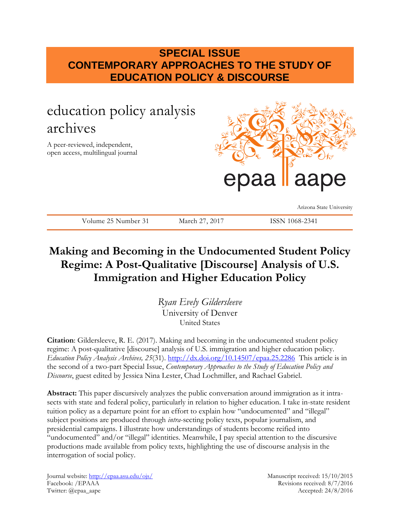## **SPECIAL ISSUE CONTEMPORARY APPROACHES TO THE STUDY OF EDUCATION POLICY & DISCOURSE**

# education policy analysis archives

A peer-reviewed, independent, open access, multilingual journal



Arizona State University

Volume 25 Number 31 March 27, 2017 ISSN 1068-2341

## **Making and Becoming in the Undocumented Student Policy Regime: A Post-Qualitative [Discourse] Analysis of U.S. Immigration and Higher Education Policy**

*Ryan Evely Gildersleeve* University of Denver United States

**Citation**: Gildersleeve, R. E. (2017). Making and becoming in the undocumented student policy regime: A post-qualitative [discourse] analysis of U.S. immigration and higher education policy. *Education Policy Analysis Archives, 25*(31). <http://dx.doi.org/10.14507/epaa.25.2286>This article is in the second of a two-part Special Issue, *Contemporary Approaches to the Study of Education Policy and Discourse*, guest edited by Jessica Nina Lester, Chad Lochmiller, and Rachael Gabriel.

**Abstract:** This paper discursively analyzes the public conversation around immigration as it intrasects with state and federal policy, particularly in relation to higher education. I take in-state resident tuition policy as a departure point for an effort to explain how "undocumented" and "illegal" subject positions are produced through *intra*-secting policy texts, popular journalism, and presidential campaigns. I illustrate how understandings of students become reified into "undocumented" and/or "illegal" identities. Meanwhile, I pay special attention to the discursive productions made available from policy texts, highlighting the use of discourse analysis in the interrogation of social policy.

Journal website:<http://epaa.asu.edu/ojs/> Manuscript received: 15/10/2015 Facebook: /EPAAA Revisions received: 8/7/2016 Twitter: @epaa\_aape Accepted: 24/8/2016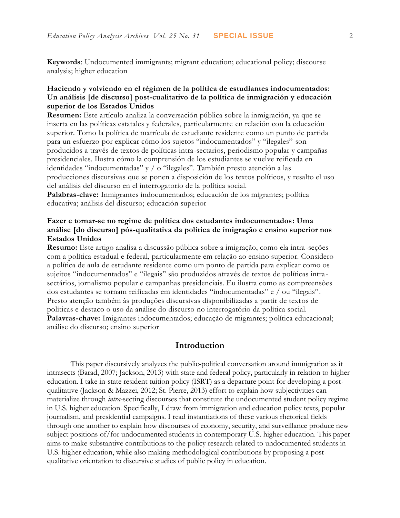**Keywords**: Undocumented immigrants; migrant education; educational policy; discourse analysis; higher education

#### **Haciendo y volviendo en el régimen de la política de estudiantes indocumentados: Un análisis [de discurso] post-cualitativo de la política de inmigración y educación superior de los Estados Unidos**

**Resumen:** Este artículo analiza la conversación pública sobre la inmigración, ya que se inserta en las políticas estatales y federales, particularmente en relación con la educación superior. Tomo la política de matrícula de estudiante residente como un punto de partida para un esfuerzo por explicar cómo los sujetos "indocumentados" y "ilegales" son producidos a través de textos de políticas intra-sectarios, periodismo popular y campañas presidenciales. Ilustra cómo la comprensión de los estudiantes se vuelve reificada en identidades "indocumentadas" y / o "ilegales". También presto atención a las producciones discursivas que se ponen a disposición de los textos políticos, y resalto el uso del análisis del discurso en el interrogatorio de la política social.

**Palabras-clave:** Inmigrantes indocumentados; educación de los migrantes; política educativa; análisis del discurso; educación superior

#### **Fazer e tornar-se no regime de política dos estudantes indocumentados: Uma análise [do discurso] pós-qualitativa da política de imigração e ensino superior nos Estados Unidos**

**Resumo:** Este artigo analisa a discussão pública sobre a imigração, como ela intra -seções com a política estadual e federal, particularmente em relação ao ensino superior. Considero a política de aula de estudante residente como um ponto de partida para explicar como os sujeitos "indocumentados" e "ilegais" são produzidos através de textos de políticas intra sectários, jornalismo popular e campanhas presidenciais. Eu ilustra como as compreensões dos estudantes se tornam reificadas em identidades "indocumentadas" e / ou "ilegais". Presto atenção também às produções discursivas disponibilizadas a partir de textos de políticas e destaco o uso da análise do discurso no interrogatório da política social. **Palavras-chave:** Imigrantes indocumentados; educação de migrantes; política educacional; análise do discurso; ensino superior

#### **Introduction**

This paper discursively analyzes the public-political conversation around immigration as it intrasects (Barad, 2007; Jackson, 2013) with state and federal policy, particularly in relation to higher education. I take in-state resident tuition policy (ISRT) as a departure point for developing a postqualitative (Jackson & Mazzei, 2012; St. Pierre, 2013) effort to explain how subjectivities can materialize through *intra*-secting discourses that constitute the undocumented student policy regime in U.S. higher education. Specifically, I draw from immigration and education policy texts, popular journalism, and presidential campaigns. I read instantiations of these various rhetorical fields through one another to explain how discourses of economy, security, and surveillance produce new subject positions of/for undocumented students in contemporary U.S. higher education. This paper aims to make substantive contributions to the policy research related to undocumented students in U.S. higher education, while also making methodological contributions by proposing a postqualitative orientation to discursive studies of public policy in education.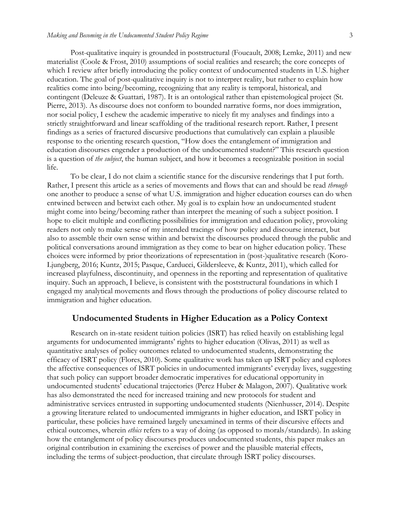Post-qualitative inquiry is grounded in poststructural (Foucault, 2008; Lemke, 2011) and new materialist (Coole & Frost, 2010) assumptions of social realities and research; the core concepts of which I review after briefly introducing the policy context of undocumented students in U.S. higher education. The goal of post-qualitative inquiry is not to interpret reality, but rather to explain how realities come into being/becoming, recognizing that any reality is temporal, historical, and contingent (Deleuze & Guattari, 1987). It is an ontological rather than epistemological project (St. Pierre, 2013). As discourse does not conform to bounded narrative forms, nor does immigration, nor social policy, I eschew the academic imperative to nicely fit my analyses and findings into a strictly straightforward and linear scaffolding of the traditional research report. Rather, I present findings as a series of fractured discursive productions that cumulatively can explain a plausible response to the orienting research question, "How does the entanglement of immigration and education discourses engender a production of the undocumented student?" This research question is a question of *the subject*, the human subject, and how it becomes a recognizable position in social life.

To be clear, I do not claim a scientific stance for the discursive renderings that I put forth. Rather, I present this article as a series of movements and flows that can and should be read *through* one another to produce a sense of what U.S. immigration and higher education courses can do when entwined between and betwixt each other. My goal is to explain how an undocumented student might come into being/becoming rather than interpret the meaning of such a subject position. I hope to elicit multiple and conflicting possibilities for immigration and education policy, provoking readers not only to make sense of my intended tracings of how policy and discourse interact, but also to assemble their own sense within and betwixt the discourses produced through the public and political conversations around immigration as they come to bear on higher education policy. These choices were informed by prior theorizations of representation in (post-)qualitative research (Koro-Ljungberg, 2016; Kuntz, 2015; Pasque, Carducci, Gildersleeve, & Kuntz, 2011), which called for increased playfulness, discontinuity, and openness in the reporting and representation of qualitative inquiry. Such an approach, I believe, is consistent with the poststructural foundations in which I engaged my analytical movements and flows through the productions of policy discourse related to immigration and higher education.

#### **Undocumented Students in Higher Education as a Policy Context**

Research on in-state resident tuition policies (ISRT) has relied heavily on establishing legal arguments for undocumented immigrants' rights to higher education (Olivas, 2011) as well as quantitative analyses of policy outcomes related to undocumented students, demonstrating the efficacy of ISRT policy (Flores, 2010). Some qualitative work has taken up ISRT policy and explores the affective consequences of ISRT policies in undocumented immigrants' everyday lives, suggesting that such policy can support broader democratic imperatives for educational opportunity in undocumented students' educational trajectories (Perez Huber & Malagon, 2007). Qualitative work has also demonstrated the need for increased training and new protocols for student and administrative services entrusted in supporting undocumented students (Nienhusser, 2014). Despite a growing literature related to undocumented immigrants in higher education, and ISRT policy in particular, these policies have remained largely unexamined in terms of their discursive effects and ethical outcomes, wherein *ethics* refers to a way of doing (as opposed to morals/standards). In asking how the entanglement of policy discourses produces undocumented students, this paper makes an original contribution in examining the exercises of power and the plausible material effects, including the terms of subject-production, that circulate through ISRT policy discourses.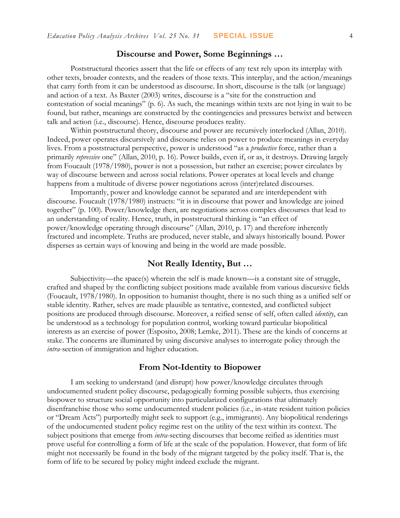#### **Discourse and Power, Some Beginnings …**

Poststructural theories assert that the life or effects of any text rely upon its interplay with other texts, broader contexts, and the readers of those texts. This interplay, and the action/meanings that carry forth from it can be understood as discourse. In short, discourse is the talk (or language) and action of a text. As Baxter (2003) writes, discourse is a "site for the construction and contestation of social meanings" (p. 6). As such, the meanings within texts are not lying in wait to be found, but rather, meanings are constructed by the contingencies and pressures betwixt and between talk and action (i.e., discourse). Hence, discourse produces reality.

Within poststructural theory, discourse and power are recursively interlocked (Allan, 2010). Indeed, power operates discursively and discourse relies on power to produce meanings in everyday lives. From a poststructural perspective, power is understood "as a *productive* force, rather than a primarily *repressive* one" (Allan, 2010, p. 16). Power builds, even if, or as, it destroys. Drawing largely from Foucault (1978/1980), power is not a possession, but rather an exercise; power circulates by way of discourse between and across social relations. Power operates at local levels and change happens from a multitude of diverse power negotiations across (inter)related discourses.

Importantly, power and knowledge cannot be separated and are interdependent with discourse. Foucault (1978/1980) instructs: "it is in discourse that power and knowledge are joined together" (p. 100). Power/knowledge then, are negotiations across complex discourses that lead to an understanding of reality. Hence, truth, in poststructural thinking is "an effect of power/knowledge operating through discourse" (Allan, 2010, p. 17) and therefore inherently fractured and incomplete. Truths are produced, never stable, and always historically bound. Power disperses as certain ways of knowing and being in the world are made possible.

#### **Not Really Identity, But …**

Subjectivity—the space(s) wherein the self is made known—is a constant site of struggle, crafted and shaped by the conflicting subject positions made available from various discursive fields (Foucault, 1978/1980). In opposition to humanist thought, there is no such thing as a unified self or stable identity. Rather, selves are made plausible as tentative, contested, and conflicted subject positions are produced through discourse. Moreover, a reified sense of self, often called *identity*, can be understood as a technology for population control, working toward particular biopolitical interests as an exercise of power (Esposito, 2008; Lemke, 2011). These are the kinds of concerns at stake. The concerns are illuminated by using discursive analyses to interrogate policy through the *intra*-section of immigration and higher education.

### **From Not-Identity to Biopower**

I am seeking to understand (and disrupt) how power/knowledge circulates through undocumented student policy discourse, pedagogically forming possible subjects*,* thus exercising biopower to structure social opportunity into particularized configurations that ultimately disenfranchise those who some undocumented student policies (i.e., in-state resident tuition policies or "Dream Acts") purportedly might seek to support (e.g., immigrants). Any biopolitical renderings of the undocumented student policy regime rest on the utility of the text within its context. The subject positions that emerge from *intra*-secting discourses that become reified as identities must prove useful for controlling a form of life at the scale of the population. However, that form of life might not necessarily be found in the body of the migrant targeted by the policy itself. That is, the form of life to be secured by policy might indeed exclude the migrant.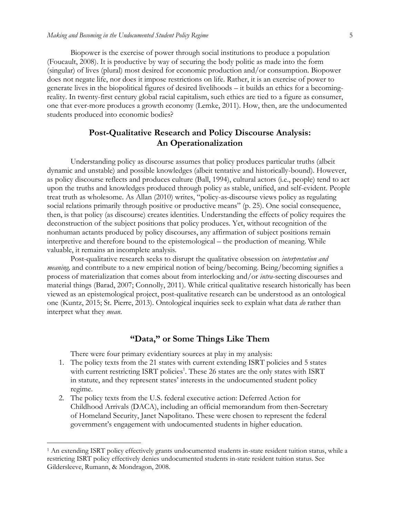Biopower is the exercise of power through social institutions to produce a population (Foucault, 2008). It is productive by way of securing the body politic as made into the form (singular) of lives (plural) most desired for economic production and/or consumption. Biopower does not negate life, nor does it impose restrictions on life. Rather, it is an exercise of power to generate lives in the biopolitical figures of desired livelihoods – it builds an ethics for a becomingreality. In twenty-first century global racial capitalism, such ethics are tied to a figure as consumer, one that ever-more produces a growth economy (Lemke, 2011). How, then, are the undocumented students produced into economic bodies?

## **Post-Qualitative Research and Policy Discourse Analysis: An Operationalization**

Understanding policy as discourse assumes that policy produces particular truths (albeit dynamic and unstable) and possible knowledges (albeit tentative and historically-bound). However, as policy discourse reflects and produces culture (Ball, 1994), cultural actors (i.e., people) tend to act upon the truths and knowledges produced through policy as stable, unified, and self-evident. People treat truth as wholesome. As Allan (2010) writes, "policy-as-discourse views policy as regulating social relations primarily through positive or productive means" (p. 25). One social consequence, then, is that policy (as discourse) creates identities. Understanding the effects of policy requires the deconstruction of the subject positions that policy produces. Yet, without recognition of the nonhuman actants produced by policy discourses, any affirmation of subject positions remain interpretive and therefore bound to the epistemological – the production of meaning. While valuable, it remains an incomplete analysis.

Post-qualitative research seeks to disrupt the qualitative obsession on *interpretation and meaning,* and contribute to a new empirical notion of being/becoming. Being/becoming signifies a process of materialization that comes about from interlocking and/or *intra*-secting discourses and material things (Barad, 2007; Connolly, 2011). While critical qualitative research historically has been viewed as an epistemological project, post-qualitative research can be understood as an ontological one (Kuntz, 2015; St. Pierre, 2013). Ontological inquiries seek to explain what data *do* rather than interpret what they *mean*.

#### **"Data," or Some Things Like Them**

There were four primary evidentiary sources at play in my analysis:

 $\overline{a}$ 

- 1. The policy texts from the 21 states with current extending ISRT policies and 5 states with current restricting ISRT policies<sup>1</sup>. These 26 states are the only states with ISRT in statute, and they represent states' interests in the undocumented student policy regime.
- 2. The policy texts from the U.S. federal executive action: Deferred Action for Childhood Arrivals (DACA), including an official memorandum from then-Secretary of Homeland Security, Janet Napolitano. These were chosen to represent the federal government's engagement with undocumented students in higher education.

<sup>1</sup> An extending ISRT policy effectively grants undocumented students in-state resident tuition status, while a restricting ISRT policy effectively denies undocumented students in-state resident tuition status. See Gildersleeve, Rumann, & Mondragon, 2008.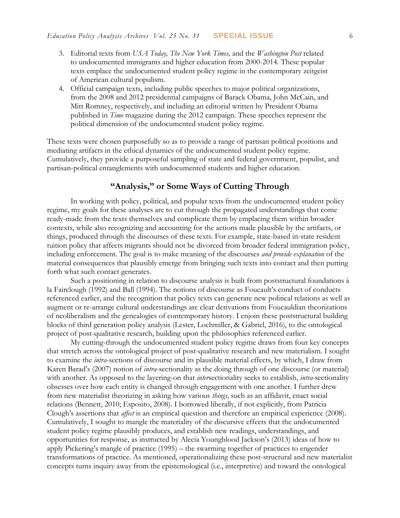- 3. Editorial texts from *USA Today, The New York Times,* and the *Washington Post* related to undocumented immigrants and higher education from 2000-2014. These popular texts emplace the undocumented student policy regime in the contemporary zeitgeist of American cultural populism.
- 4. Official campaign texts, including public speeches to major political organizations, from the 2008 and 2012 presidential campaigns of Barack Obama, John McCain, and Mitt Romney, respectively, and including an editorial written by President Obama published in *Time* magazine during the 2012 campaign. These speeches represent the political dimension of the undocumented student policy regime.

These texts were chosen purposefully so as to provide a range of partisan political positions and mediating artifacts in the ethical dynamics of the undocumented student policy regime. Cumulatively, they provide a purposeful sampling of state and federal government, populist, and partisan-political entanglements with undocumented students and higher education.

## **"Analysis," or Some Ways of Cutting Through**

In working with policy, political, and popular texts from the undocumented student policy regime, my goals for these analyses are to cut through the propagated understandings that come ready-made from the texts themselves and complicate them by emplacing them within broader contexts, while also recognizing and accounting for the actions made plausible by the artifacts, or things, produced through the discourses of these texts. For example, state-based in-state resident tuition policy that affects migrants should not be divorced from broader federal immigration policy, including enforcement. The goal is to make meaning of the discourses *and provide explanation* of the material consequences that plausibly emerge from bringing such texts into contact and then putting forth what such contact generates.

Such a positioning in relation to discourse analysis is built from poststructural foundations à la Fairclough (1992) and Ball (1994). The notions of discourse as Foucault's conduct of conducts referenced earlier, and the recognition that policy texts can generate new political relations as well as augment or re-arrange cultural understandings are clear derivations from Foucauldian theorizations of neoliberalism and the genealogies of contemporary history. I enjoin these poststructural building blocks of third generation policy analysis (Lester, Lochmiller, & Gabriel, 2016), to the ontological project of post-qualitative research, building upon the philosophies referenced earlier*.*

My cutting-through the undocumented student policy regime draws from four key concepts that stretch across the ontological project of post-qualitative research and new materialism. I sought to examine the *intra*-sections of discourse and its plausible material effects, by which, I draw from Karen Barad's (2007) notion of *intra*-sectionality as the doing through of one discourse (or material) with another. As opposed to the layering-on that *inter*sectionality seeks to establish, *intra-*sectionality obsesses over how each entity is changed through engagement with one another. I further drew from new materialist theorizing in asking how various *things*, such as an affidavit, enact social relations (Bennett, 2010; Esposito, 2008). I borrowed liberally, if not explicitly, from Patricia Clough's assertions that *affect* is an empirical question and therefore an empirical experience (2008). Cumulatively, I sought to mangle the materiality of the discursive effects that the undocumented student policy regime plausibly produces, and establish new readings, understandings, and opportunities for response, as instructed by Alecia Youngblood Jackson's (2013) ideas of how to apply Pickering's mangle of practice (1995) – the swarming together of practices to engender transformations of practice. As mentioned, operationalizing these post-structural and new materialist concepts turns inquiry away from the epistemological (i.e., interpretive) and toward the ontological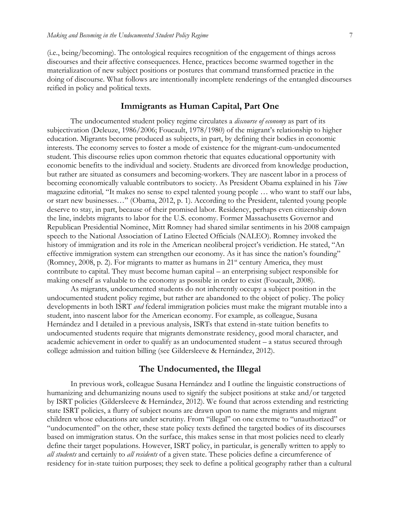(i.e., being/becoming). The ontological requires recognition of the engagement of things across discourses and their affective consequences. Hence, practices become swarmed together in the materialization of new subject positions or postures that command transformed practice in the doing of discourse. What follows are intentionally incomplete renderings of the entangled discourses reified in policy and political texts.

#### **Immigrants as Human Capital, Part One**

The undocumented student policy regime circulates a *discourse of economy* as part of its subjectivation (Deleuze, 1986/2006; Foucault, 1978/1980) of the migrant's relationship to higher education. Migrants become produced as subjects, in part, by defining their bodies in economic interests. The economy serves to foster a mode of existence for the migrant-cum-undocumented student. This discourse relies upon common rhetoric that equates educational opportunity with economic benefits to the individual and society. Students are divorced from knowledge production, but rather are situated as consumers and becoming-workers. They are nascent labor in a process of becoming economically valuable contributors to society. As President Obama explained in his *Time*  magazine editorial*,* "It makes no sense to expel talented young people … who want to staff our labs, or start new businesses…" (Obama, 2012, p. 1). According to the President, talented young people deserve to stay, in part, because of their promised labor. Residency, perhaps even citizenship down the line, indebts migrants to labor for the U.S. economy. Former Massachusetts Governor and Republican Presidential Nominee, Mitt Romney had shared similar sentiments in his 2008 campaign speech to the National Association of Latino Elected Officials (NALEO). Romney invoked the history of immigration and its role in the American neoliberal project's veridiction. He stated, "An effective immigration system can strengthen our economy. As it has since the nation's founding" (Romney, 2008, p. 2). For migrants to matter as humans in  $21<sup>st</sup>$  century America, they must contribute to capital. They must become human capital – an enterprising subject responsible for making oneself as valuable to the economy as possible in order to exist (Foucault, 2008).

As migrants, undocumented students do not inherently occupy a subject position in the undocumented student policy regime, but rather are abandoned to the object of policy. The policy developments in both ISRT *and* federal immigration policies must make the migrant mutable into a student, into nascent labor for the American economy. For example, as colleague, Susana Hernández and I detailed in a previous analysis, ISRTs that extend in-state tuition benefits to undocumented students require that migrants demonstrate residency, good moral character, and academic achievement in order to qualify as an undocumented student – a status secured through college admission and tuition billing (see Gildersleeve & Hernández, 2012).

#### **The Undocumented, the Illegal**

In previous work, colleague Susana Hernández and I outline the linguistic constructions of humanizing and dehumanizing nouns used to signify the subject positions at stake and/or targeted by ISRT policies (Gildersleeve & Hernández, 2012). We found that across extending and restricting state ISRT policies, a flurry of subject nouns are drawn upon to name the migrants and migrant children whose educations are under scrutiny. From "illegal" on one extreme to "unauthorized" or "undocumented" on the other, these state policy texts defined the targeted bodies of its discourses based on immigration status. On the surface, this makes sense in that most policies need to clearly define their target populations. However, ISRT policy, in particular, is generally written to apply to *all students* and certainly to *all residents* of a given state. These policies define a circumference of residency for in-state tuition purposes; they seek to define a political geography rather than a cultural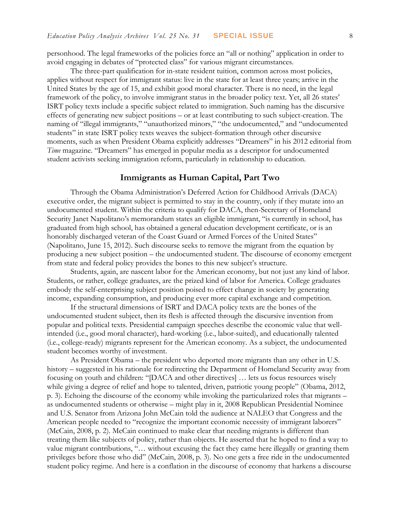personhood. The legal frameworks of the policies force an "all or nothing" application in order to avoid engaging in debates of "protected class" for various migrant circumstances.

The three-part qualification for in-state resident tuition, common across most policies, applies without respect for immigrant status: live in the state for at least three years; arrive in the United States by the age of 15, and exhibit good moral character. There is no need, in the legal framework of the policy, to involve immigrant status in the broader policy text. Yet, all 26 states' ISRT policy texts include a specific subject related to immigration. Such naming has the discursive effects of generating new subject positions – or at least contributing to such subject-creation. The naming of "illegal immigrants," "unauthorized minors," "the undocumented," and "undocumented students" in state ISRT policy texts weaves the subject-formation through other discursive moments, such as when President Obama explicitly addresses "Dreamers" in his 2012 editorial from *Time* magazine. "Dreamers" has emerged in popular media as a descriptor for undocumented student activists seeking immigration reform, particularly in relationship to education.

#### **Immigrants as Human Capital, Part Two**

Through the Obama Administration's Deferred Action for Childhood Arrivals (DACA) executive order, the migrant subject is permitted to stay in the country, only if they mutate into an undocumented student. Within the criteria to qualify for DACA, then-Secretary of Homeland Security Janet Napolitano's memorandum states an eligible immigrant, "is currently in school, has graduated from high school, has obtained a general education development certificate, or is an honorably discharged veteran of the Coast Guard or Armed Forces of the United States" (Napolitano, June 15, 2012). Such discourse seeks to remove the migrant from the equation by producing a new subject position – the undocumented student. The discourse of economy emergent from state and federal policy provides the bones to this new subject's structure.

Students, again, are nascent labor for the American economy, but not just any kind of labor. Students, or rather, college graduates, are the prized kind of labor for America. College graduates embody the self-enterprising subject position poised to effect change in society by generating income, expanding consumption, and producing ever more capital exchange and competition.

If the structural dimensions of ISRT and DACA policy texts are the bones of the undocumented student subject, then its flesh is affected through the discursive invention from popular and political texts. Presidential campaign speeches describe the economic value that wellintended (i.e., good moral character), hard-working (i.e., labor-suited), and educationally talented (i.e., college-ready) migrants represent for the American economy. As a subject, the undocumented student becomes worthy of investment.

As President Obama – the president who deported more migrants than any other in U.S. history – suggested in his rationale for redirecting the Department of Homeland Security away from focusing on youth and children: "[DACA and other directives] … lets us focus resources wisely while giving a degree of relief and hope to talented, driven, patriotic young people" (Obama, 2012, p. 3). Echoing the discourse of the economy while invoking the particularized roles that migrants – as undocumented students or otherwise – might play in it, 2008 Republican Presidential Nominee and U.S. Senator from Arizona John McCain told the audience at NALEO that Congress and the American people needed to "recognize the important economic necessity of immigrant laborers" (McCain, 2008, p. 2). McCain continued to make clear that needing migrants is different than treating them like subjects of policy, rather than objects. He asserted that he hoped to find a way to value migrant contributions, "... without excusing the fact they came here illegally or granting them privileges before those who did" (McCain, 2008, p. 3). No one gets a free ride in the undocumented student policy regime. And here is a conflation in the discourse of economy that harkens a discourse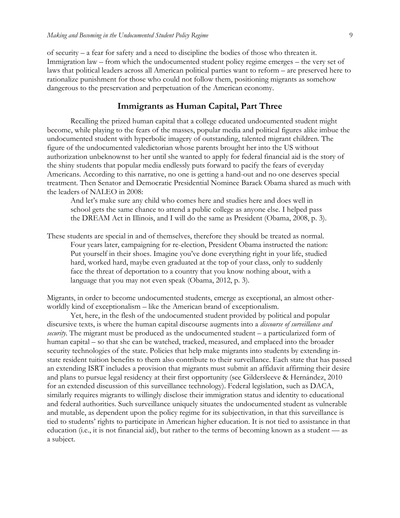of security – a fear for safety and a need to discipline the bodies of those who threaten it. Immigration law – from which the undocumented student policy regime emerges – the very set of laws that political leaders across all American political parties want to reform – are preserved here to rationalize punishment for those who could not follow them, positioning migrants as somehow dangerous to the preservation and perpetuation of the American economy.

#### **Immigrants as Human Capital, Part Three**

Recalling the prized human capital that a college educated undocumented student might become, while playing to the fears of the masses, popular media and political figures alike imbue the undocumented student with hyperbolic imagery of outstanding, talented migrant children. The figure of the undocumented valedictorian whose parents brought her into the US without authorization unbeknownst to her until she wanted to apply for federal financial aid is the story of the shiny students that popular media endlessly puts forward to pacify the fears of everyday Americans. According to this narrative, no one is getting a hand-out and no one deserves special treatment. Then Senator and Democratic Presidential Nominee Barack Obama shared as much with the leaders of NALEO in 2008:

And let's make sure any child who comes here and studies here and does well in school gets the same chance to attend a public college as anyone else. I helped pass the DREAM Act in Illinois, and I will do the same as President (Obama, 2008, p. 3).

These students are special in and of themselves, therefore they should be treated as normal. Four years later, campaigning for re-election, President Obama instructed the nation: Put yourself in their shoes. Imagine you've done everything right in your life, studied hard, worked hard, maybe even graduated at the top of your class, only to suddenly face the threat of deportation to a country that you know nothing about, with a language that you may not even speak (Obama, 2012, p. 3).

Migrants, in order to become undocumented students, emerge as exceptional, an almost otherworldly kind of exceptionalism – like the American brand of exceptionalism.

Yet, here, in the flesh of the undocumented student provided by political and popular discursive texts, is where the human capital discourse augments into a *discourse of surveillance and security*. The migrant must be produced as the undocumented student – a particularized form of human capital – so that she can be watched, tracked, measured, and emplaced into the broader security technologies of the state. Policies that help make migrants into students by extending instate resident tuition benefits to them also contribute to their surveillance. Each state that has passed an extending ISRT includes a provision that migrants must submit an affidavit affirming their desire and plans to pursue legal residency at their first opportunity (see Gildersleeve & Hernández, 2010 for an extended discussion of this surveillance technology). Federal legislation, such as DACA, similarly requires migrants to willingly disclose their immigration status and identity to educational and federal authorities. Such surveillance uniquely situates the undocumented student as vulnerable and mutable, as dependent upon the policy regime for its subjectivation, in that this surveillance is tied to students' rights to participate in American higher education. It is not tied to assistance in that education (i.e., it is not financial aid), but rather to the terms of becoming known as a student — as a subject.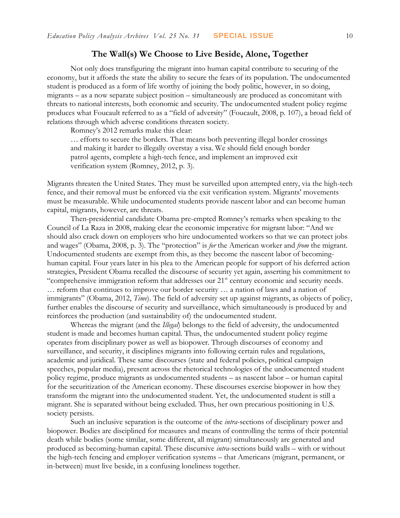#### **The Wall(s) We Choose to Live Beside, Alone, Together**

Not only does transfiguring the migrant into human capital contribute to securing of the economy, but it affords the state the ability to secure the fears of its population. The undocumented student is produced as a form of life worthy of joining the body politic, however, in so doing, migrants – as a now separate subject position – simultaneously are produced as concomitant with threats to national interests, both economic and security. The undocumented student policy regime produces what Foucault referred to as a "field of adversity" (Foucault, 2008, p. 107), a broad field of relations through which adverse conditions threaten society.

Romney's 2012 remarks make this clear:

… efforts to secure the borders. That means both preventing illegal border crossings and making it harder to illegally overstay a visa. We should field enough border patrol agents, complete a high-tech fence, and implement an improved exit verification system (Romney, 2012, p. 3).

Migrants threaten the United States. They must be surveilled upon attempted entry, via the high-tech fence, and their removal must be enforced via the exit verification system. Migrants' movements must be measurable. While undocumented students provide nascent labor and can become human capital, migrants, however, are threats.

Then-presidential candidate Obama pre-empted Romney's remarks when speaking to the Council of La Raza in 2008, making clear the economic imperative for migrant labor: "And we should also crack down on employers who hire undocumented workers so that we can protect jobs and wages" (Obama, 2008, p. 3). The "protection" is *for* the American worker and *from* the migrant. Undocumented students are exempt from this, as they become the nascent labor of becominghuman capital. Four years later in his plea to the American people for support of his deferred action strategies, President Obama recalled the discourse of security yet again, asserting his commitment to "comprehensive immigration reform that addresses our 21<sup>st</sup> century economic and security needs. … reform that continues to improve our border security … a nation of laws and a nation of immigrants" (Obama, 2012, *Time*). The field of adversity set up against migrants, as objects of policy, further enables the discourse of security and surveillance, which simultaneously is produced by and reinforces the production (and sustainability of) the undocumented student.

Whereas the migrant (and the *Illegal*) belongs to the field of adversity, the undocumented student is made and becomes human capital. Thus, the undocumented student policy regime operates from disciplinary power as well as biopower. Through discourses of economy and surveillance, and security, it disciplines migrants into following certain rules and regulations, academic and juridical. These same discourses (state and federal policies, political campaign speeches, popular media), present across the rhetorical technologies of the undocumented student policy regime, produce migrants as undocumented students – as nascent labor – or human capital for the securitization of the American economy. These discourses exercise biopower in how they transform the migrant into the undocumented student. Yet, the undocumented student is still a migrant. She is separated without being excluded. Thus, her own precarious positioning in U.S. society persists.

Such an inclusive separation is the outcome of the *intra*-sections of disciplinary power and biopower. Bodies are disciplined for measures and means of controlling the terms of their potential death while bodies (some similar, some different, all migrant) simultaneously are generated and produced as becoming-human capital. These discursive *intra*-sections build walls – with or without the high-tech fencing and employer verification systems – that Americans (migrant, permanent, or in-between) must live beside, in a confusing loneliness together.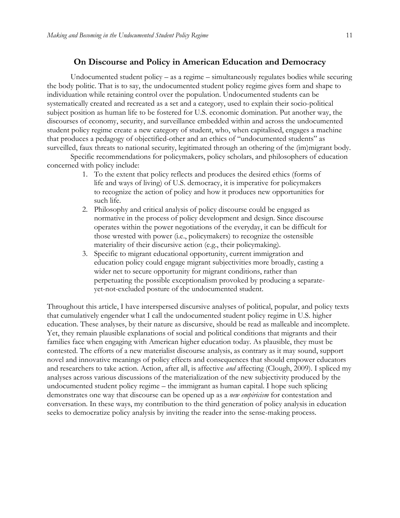#### **On Discourse and Policy in American Education and Democracy**

Undocumented student policy – as a regime – simultaneously regulates bodies while securing the body politic. That is to say, the undocumented student policy regime gives form and shape to individuation while retaining control over the population. Undocumented students can be systematically created and recreated as a set and a category, used to explain their socio-political subject position as human life to be fostered for U.S. economic domination. Put another way, the discourses of economy, security, and surveillance embedded within and across the undocumented student policy regime create a new category of student, who, when capitalised, engages a machine that produces a pedagogy of objectified-other and an ethics of "undocumented students" as surveilled, faux threats to national security, legitimated through an othering of the (im)migrant body.

Specific recommendations for policymakers, policy scholars, and philosophers of education concerned with policy include:

- 1. To the extent that policy reflects and produces the desired ethics (forms of life and ways of living) of U.S. democracy, it is imperative for policymakers to recognize the action of policy and how it produces new opportunities for such life.
- 2. Philosophy and critical analysis of policy discourse could be engaged as normative in the process of policy development and design. Since discourse operates within the power negotiations of the everyday, it can be difficult for those wrested with power (i.e., policymakers) to recognize the ostensible materiality of their discursive action (e.g., their policymaking).
- 3. Specific to migrant educational opportunity, current immigration and education policy could engage migrant subjectivities more broadly, casting a wider net to secure opportunity for migrant conditions, rather than perpetuating the possible exceptionalism provoked by producing a separateyet-not-excluded posture of the undocumented student.

Throughout this article, I have interspersed discursive analyses of political, popular, and policy texts that cumulatively engender what I call the undocumented student policy regime in U.S. higher education. These analyses, by their nature as discursive, should be read as malleable and incomplete. Yet, they remain plausible explanations of social and political conditions that migrants and their families face when engaging with American higher education today. As plausible, they must be contested. The efforts of a new materialist discourse analysis, as contrary as it may sound, support novel and innovative meanings of policy effects and consequences that should empower educators and researchers to take action. Action, after all, is affective *and* affecting (Clough, 2009). I spliced my analyses across various discussions of the materialization of the new subjectivity produced by the undocumented student policy regime – the immigrant as human capital. I hope such splicing demonstrates one way that discourse can be opened up as a *new empiricism* for contestation and conversation. In these ways, my contribution to the third generation of policy analysis in education seeks to democratize policy analysis by inviting the reader into the sense-making process.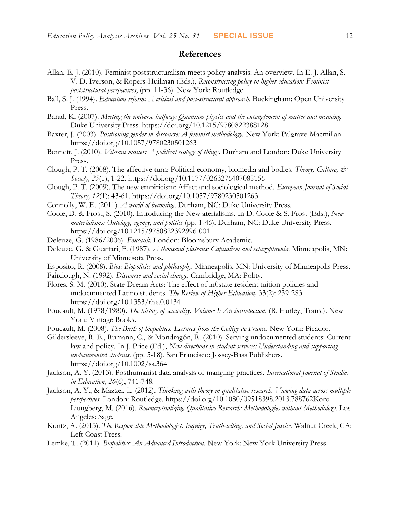#### **References**

- Allan, E. J. (2010). Feminist poststructuralism meets policy analysis: An overview*.* In E. J. Allan, S. V. D. Iverson, & Ropers-Huilman (Eds.), *Reconstructing policy in higher education: Feminist poststructural perspectives*, (pp. 11-36). New York: Routledge.
- Ball, S. J. (1994). *Education reform: A critical and post-structural approach*. Buckingham: Open University Press.
- Barad, K. (2007). *Meeting the universe halfway: Quantum physics and the entanglement of matter and meaning.*  Duke University Press. https://doi.org/10.1215/9780822388128
- Baxter, J. (2003). *Positioning gender in discourse: A feminist methodology.* New York: Palgrave-Macmillan. https://doi.org/10.1057/9780230501263
- Bennett, J. (2010). *Vibrant matter: A political ecology of things.* Durham and London: Duke University Press.
- Clough, P. T. (2008). The affective turn: Political economy, biomedia and bodies. *Theory, Culture, & Society, 25*(1), 1-22. https://doi.org/10.1177/0263276407085156
- Clough, P. T. (2009). The new empiricism: Affect and sociological method. *European Journal of Social Theory, 12*(1): 43-61. https://doi.org/10.1057/9780230501263
- Connolly, W. E. (2011). *A world of becoming.* Durham, NC: Duke University Press.
- Coole, D. & Frost, S. (2010). Introducing the New aterialisms. In D. Coole & S. Frost (Eds.), *New materialisms: Ontology, agency, and politics* (pp. 1-46). Durham, NC: Duke University Press. https://doi.org/10.1215/9780822392996-001
- Deleuze, G. (1986/2006). *Foucault*. London: Bloomsbury Academic.
- Deleuze, G. & Guattari, F. (1987). *A thousand plateaus: Capitalism and schizophrenia.* Minneapolis, MN: University of Minnesota Press.
- Esposito, R. (2008). *Bios: Biopolitics and philosophy.* Minneapolis, MN: University of Minneapolis Press.
- Fairclough, N. (1992). *Discourse and social change.* Cambridge, MA: Polity.
- Flores, S. M. (2010). State Dream Acts: The effect of in0state resident tuition policies and undocumented Latino students. *The Review of Higher Education,* 33(2): 239-283. https://doi.org/10.1353/rhe.0.0134
- Foucault, M. (1978/1980). *The history of sexuality: Volume I: An introduction.* (R. Hurley, Trans.). New York: Vintage Books.
- Foucault, M. (2008). *The Birth of biopolitics. Lectures from the Collège de France.* New York: Picador.
- Gildersleeve, R. E., Rumann, C., & Mondragón, R. (2010). Serving undocumented students: Current law and policy. In J. Price (Ed.), *New directions in student services: Understanding and supporting undocumented students,* (pp. 5-18)*.* San Francisco: Jossey-Bass Publishers. https://doi.org/10.1002/ss.364
- Jackson, A. Y. (2013). Posthumanist data analysis of mangling practices. *International Journal of Studies in Education, 26*(6), 741-748.
- Jackson, A. Y., & Mazzei, L. (2012). *Thinking with theory in qualitative research. Viewing data across multiple perspectives.* London: Routledge. https://doi.org/10.1080/09518398.2013.788762Koro-Ljungberg, M. (2016). *Reconceptualizing Qualitative Research: Methodologies without Methodology.* Los Angeles: Sage.
- Kuntz, A. (2015). *The Responsible Methodologist: Inquiry, Truth-telling, and Social Justice.* Walnut Creek, CA: Left Coast Press.
- Lemke, T. (2011). *Biopolitics: An Advanced Introduction.* New York: New York University Press.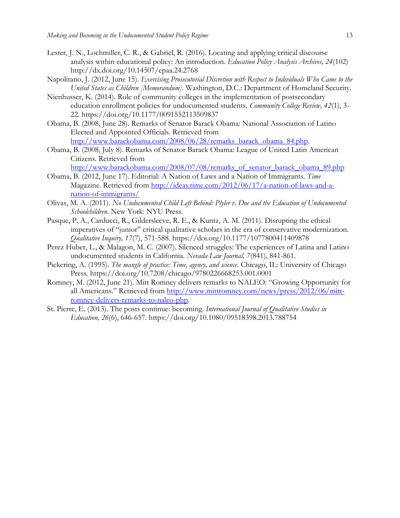- Lester, J. N., Lochmiller, C. R., & Gabriel, R. (2016). Locating and applying critical discourse analysis within educational policy: An introduction. *Education Policy Analysis Archives, 24*(102) http://dx.doi.org/10.14507/epaa.24.2768
- Napolitano, J. (2012, June 15). *Exercising Prosecutorial Discretion with Respect to Individuals Who Came to the United States as Children [Memorandum].* Washington, D.C.: Department of Homeland Security.
- Nienhusser, K. (2014). Role of community colleges in the implementation of postsecondary education enrollment policies for undocumented students. *Community College Review, 42*(1), 3- 22. https://doi.org/10.1177/0091552113509837
- Obama, B. (2008, June 28). Remarks of Senator Barack Obama: National Association of Latino Elected and Appointed Officials. Retrieved from [http://www.barackobama.com/2008/06/28/remarks\\_barack\\_obama\\_84.php.](http://www.barackobama.com/2008/06/28/remarks_barack_obama_84.php)
- Obama, B. (2008, July 8). Remarks of Senator Barack Obama: League of United Latin American Citizens. Retrieved from

[http://www.barackobama.com/2008/07/08/remarks\\_of\\_senator\\_barack\\_obama\\_89.php](http://www.barackobama.com/2008/07/08/remarks_of_senator_barack_obama_89.php)

- Obama, B. (2012, June 17). Editorial: A Nation of Laws and a Nation of Immigrants. *Time* Magazine. Retrieved from [http://ideas.time.com/2012/06/17/a-nation-of-laws-and-a](http://ideas.time.com/2012/06/17/a-nation-of-laws-and-a-nation-of-immigrants/)[nation-of-immigrants/](http://ideas.time.com/2012/06/17/a-nation-of-laws-and-a-nation-of-immigrants/)
- Olivas, M. A. (2011). *No Undocumented Child Left Behind: Plyler v. Doe and the Education of Undocumented Schoolchildren*. New York: NYU Press.
- Pasque, P. A., Carducci, R., Gildersleeve, R. E., & Kuntz, A. M. (2011). Disrupting the ethical imperatives of "junior" critical qualitative scholars in the era of conservative modernization. *Qualitative Inquiry, 17*(7), 571-588*.* https://doi.org/10.1177/1077800411409878
- Perez Huber, L., & Malagon, M. C. (2007). Silenced struggles: The experiences of Latina and Latino undocumented students in California. *Nevada Law Journal, 7*(841), 841-861.
- Pickering, A. (1995). *The mangle of practice: Time, agency, and science*. Chicago, IL: University of Chicago Press. https://doi.org/10.7208/chicago/9780226668253.001.0001
- Romney, M. (2012, June 21). Mitt Romney delivers remarks to NALEO: "Growing Opportunity for all Americans." Retrieved from [http://www.mittromney.com/news/press/2012/06/mitt](http://www.mittromney.com/news/press/2012/06/mitt-romney-delivers-remarks-to-naleo-php)[romney-delivers-remarks-to-naleo-php.](http://www.mittromney.com/news/press/2012/06/mitt-romney-delivers-remarks-to-naleo-php)
- St. Pierre, E. (2013). The posts continue: becoming. *International Journal of Qualitative Studies in Education, 26*(6), 646-657. https://doi.org/10.1080/09518398.2013.788754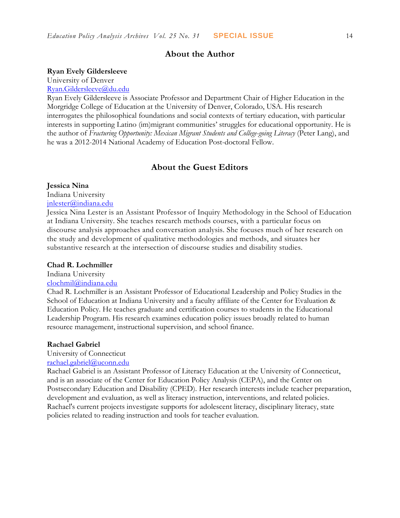#### **About the Author**

#### **Ryan Evely Gildersleeve**

University of Denver

#### [Ryan.Gildersleeve@du.edu](mailto:Ryan.Gildersleeve@du.edu)

Ryan Evely Gildersleeve is Associate Professor and Department Chair of Higher Education in the Morgridge College of Education at the University of Denver, Colorado, USA. His research interrogates the philosophical foundations and social contexts of tertiary education, with particular interests in supporting Latino (im)migrant communities' struggles for educational opportunity. He is the author of *Fracturing Opportunity: Mexican Migrant Students and College-going Literacy* (Peter Lang), and he was a 2012-2014 National Academy of Education Post-doctoral Fellow.

#### **About the Guest Editors**

#### **Jessica Nina**

Indiana University [jnlester@indiana.edu](mailto:clochmil@indiana.edu)

Jessica Nina Lester is an Assistant Professor of Inquiry Methodology in the School of Education at Indiana University. She teaches research methods courses, with a particular focus on discourse analysis approaches and conversation analysis. She focuses much of her research on the study and development of qualitative methodologies and methods, and situates her substantive research at the intersection of discourse studies and disability studies.

#### **Chad R. Lochmiller**

Indiana University

#### [clochmil@indiana.edu](mailto:clochmil@indiana.edu)

Chad R. Lochmiller is an Assistant Professor of Educational Leadership and Policy Studies in the School of Education at Indiana University and a faculty affiliate of the Center for Evaluation & Education Policy. He teaches graduate and certification courses to students in the Educational Leadership Program. His research examines education policy issues broadly related to human resource management, instructional supervision, and school finance.

#### **Rachael Gabriel**

University of Connecticut

## [rachael.gabriel@uconn.edu](mailto:rachael.gabriel@uconn.edu)

Rachael Gabriel is an Assistant Professor of Literacy Education at the University of Connecticut, and is an associate of the Center for Education Policy Analysis (CEPA), and the Center on Postsecondary Education and Disability (CPED). Her research interests include teacher preparation, development and evaluation, as well as literacy instruction, interventions, and related policies. Rachael's current projects investigate supports for adolescent literacy, disciplinary literacy, state policies related to reading instruction and tools for teacher evaluation.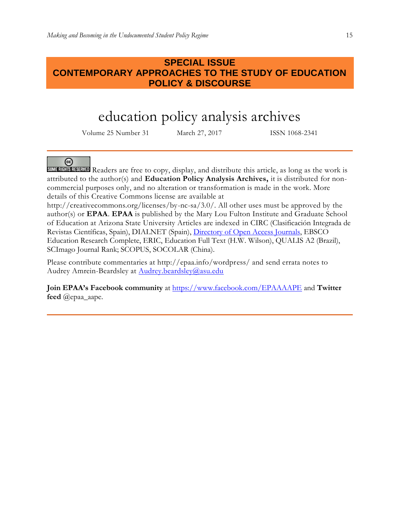## **SPECIAL ISSUE CONTEMPORARY APPROACHES TO THE STUDY OF EDUCATION POLICY & DISCOURSE**

# education policy analysis archives

Volume 25 Number 31 March 27, 2017 ISSN 1068-2341

@

**SUMERIGHTS RESERVED** Readers are free to copy, display, and distribute this article, as long as the work is attributed to the author(s) and **Education Policy Analysis Archives,** it is distributed for noncommercial purposes only, and no alteration or transformation is made in the work. More details of this Creative Commons license are available at

http://creativecommons.org/licenses/by-nc-sa/3.0/. All other uses must be approved by the author(s) or **EPAA**. **EPAA** is published by the Mary Lou Fulton Institute and Graduate School of Education at Arizona State University Articles are indexed in CIRC (Clasificación Integrada de Revistas Científicas, Spain), DIALNET (Spain), [Directory of Open Access Journals,](http://www.doaj.org/) EBSCO Education Research Complete, ERIC, Education Full Text (H.W. Wilson), QUALIS A2 (Brazil), SCImago Journal Rank; SCOPUS, SOCOLAR (China).

Please contribute commentaries at http://epaa.info/wordpress/ and send errata notes to Audrey Amrein-Beardsley at **Audrey.beardsley@asu.edu** 

**Join EPAA's Facebook community** at<https://www.facebook.com/EPAAAAPE> and **Twitter feed** @epaa\_aape.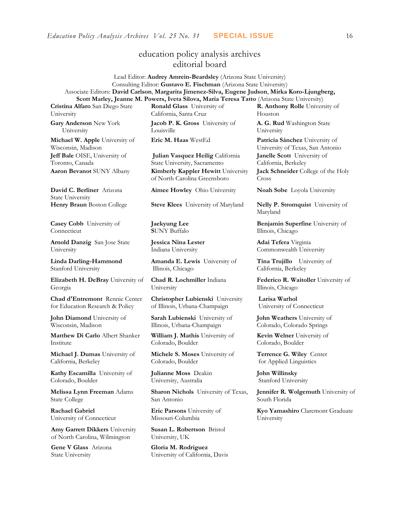## education policy analysis archives editorial board

Lead Editor: **Audrey Amrein-Beardsley** (Arizona State University) Consulting Editor: **Gustavo E. Fischman** (Arizona State University) Associate Editors: **David Carlson**, **Margarita Jimenez-Silva, Eugene Judson**, **Mirka Koro-Ljungberg, Scott Marley, Jeanne M. Powers, Iveta Silova, Maria Teresa Tatto** (Arizona State University)

**Cristina Alfaro** San Diego State University

**Gary Anderson** New York University

**Michael W. Apple** University of Wisconsin, Madison **Jeff Bale** OISE, University of Toronto, Canada

**David C. Berliner** Arizona State University

**Casey Cobb** University of Connecticut

**Arnold Danzig** San Jose State University

**Linda Darling-Hammond**  Stanford University

**Elizabeth H. DeBray** University of Georgia

**Chad d'Entremont** Rennie Center for Education Research & Policy

**John Diamond** University of Wisconsin, Madison

**Matthew Di Carlo** Albert Shanker Institute

**Michael J. Dumas** University of California, Berkeley

**Kathy Escamilla** University of Colorado, Boulder

**Melissa Lynn Freeman** Adams State College

**Rachael Gabriel** University of Connecticut

**Amy Garrett Dikkers** University of North Carolina, Wilmington

**Gene V Glass** Arizona State University

**Ronald Glass** University of California, Santa Cruz

**Jacob P. K. Gross** University of Louisville

**Julian Vasquez Heilig** California State University, Sacramento **Aaron Bevanot** SUNY Albany **Kimberly Kappler Hewitt** University of North Carolina Greensboro

**Aimee Howley** Ohio University **Noah Sobe** Loyola University

**Henry Braun** Boston College **Steve Klees** University of Maryland **Nelly P. Stromquist** University of

**Jaekyung Lee S**UNY Buffalo

**Jessica Nina Lester** Indiana University

**Amanda E. Lewis** University of Illinois, Chicago

**Chad R. Lochmiller** Indiana University

**Christopher Lubienski** University of Illinois, Urbana-Champaign

**Sarah Lubienski** University of Illinois, Urbana-Champaign

**William J. Mathis** University of Colorado, Boulder

**Michele S. Moses** University of Colorado, Boulder

**Julianne Moss** Deakin University, Australia

**Sharon Nichols** University of Texas, San Antonio

**Eric Parsons** University of Missouri-Columbia

**Susan L. Robertson** Bristol University, UK

**Gloria M. Rodriguez** University of California, Davis **R. Anthony Rolle** University of Houston

**A. G. Rud** Washington State University

**Eric M. Haas** WestEd **Patricia Sánchez** University of University of Texas, San Antonio **Janelle Scott** University of California, Berkeley **Jack Schneider** College of the Holy

Cross

Maryland

**Benjamin Superfine** University of Illinois, Chicago

**Adai Tefera** Virginia Commonwealth University

**Tina Trujillo** University of California, Berkeley

**Federico R. Waitoller** University of Illinois, Chicago

**Larisa Warhol** University of Connecticut

**John Weathers** University of Colorado, Colorado Springs

**Kevin Welner** University of Colorado, Boulder

**Terrence G. Wiley** Center for Applied Linguistics

**John Willinsky**  Stanford University

**Jennifer R. Wolgemuth** University of South Florida

**Kyo Yamashiro** Claremont Graduate University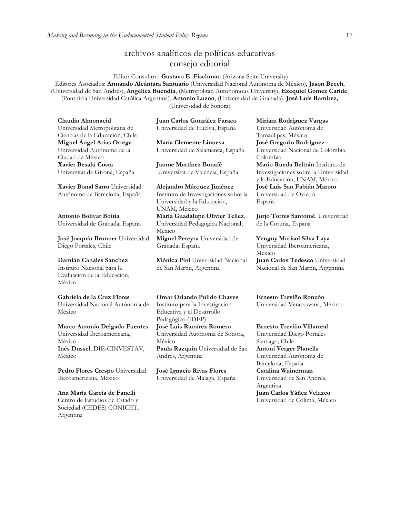## archivos analíticos de políticas educativas consejo editorial

Editor Consultor: **Gustavo E. Fischman** (Arizona State University) Editores Asociados: **Armando Alcántara Santuario** (Universidad Nacional Autónoma de México), **Jason Beech**, (Universidad de San Andrés), **Angelica Buendia**, (Metropolitan Autonomous University), **Ezequiel Gomez Caride**, (Pontificia Universidad Católica Argentina), **Antonio Luzon**, (Universidad de Granada), **José Luis Ramírez,** (Universidad de Sonora)

**Claudio Almonacid** Universidad Metropolitana de Ciencias de la Educación, Chile **Miguel Ángel Arias Ortega**  Universidad Autónoma de la Ciudad de México **Xavier Besalú Costa**  Universitat de Girona, España

**[Xavier Bonal](javascript:openRTWindow() Sarro** Universidad Autónoma de Barcelona, España

**[Antonio Bolívar](javascript:openRTWindow() Boitia** Universidad de Granada, España

**[José Joaquín Brunner](javascript:openRTWindow()** Universidad Diego Portales, Chile

## **[Damián Canales Sánchez](javascript:openRTWindow()**

Instituto Nacional para la Evaluación de la Educación, México

#### **Gabriela de la Cruz Flores**

Universidad Nacional Autónoma de México

#### **[Marco Antonio Delgado Fuentes](javascript:openRTWindow()** Universidad Iberoamericana, México **[Inés Dussel](javascript:openRTWindow()**, DIE-CINVESTAV, México

**[Pedro Flores Crespo](javascript:openRTWindow()** Universidad Iberoamericana, México

**Ana María García de Fanelli**  Centro de Estudios de Estado y Sociedad (CEDES) CONICET, Argentina

**Juan Carlos González Faraco**  Universidad de Huelva, España

**María Clemente Linuesa**  Universidad de Salamanca, España

**Jaume Martínez Bonafé** Universitat de València, España

**Alejandro Márquez Jiménez**  Instituto de Investigaciones sobre la Universidad y la Educación, UNAM, México **María Guadalupe Olivier Tellez**, Universidad Pedagógica Nacional, México **[Miguel Pereyra](javascript:openRTWindow()** Universidad de Granada, España

**[Mónica Pini](javascript:openRTWindow()** Universidad Nacional de San Martín, Argentina

**Omar Orlando Pulido Chaves** Instituto para la Investigación Educativa y el Desarrollo Pedagógico (IDEP)

**[José Luis Ramírez](javascript:openRTWindow() Romero** Universidad Autónoma de Sonora, México **[Paula Razquin](javascript:openRTWindow()** Universidad de San

Andrés, Argentina

**José Ignacio Rivas Flores** Universidad de Málaga, España **[Miriam Rodríguez Vargas](javascript:openRTWindow()** Universidad Autónoma de Tamaulipas, México **José Gregorio Rodríguez**  Universidad Nacional de Colombia, Colombia **[Mario Rueda Beltrán](javascript:openRTWindow()** Instituto de Investigaciones sobre la Universidad y la Educación, UNAM, México **José Luis San Fabián Maroto**  Universidad de Oviedo,

**[Jurjo Torres Santomé](javascript:openRTWindow()**, Universidad de la Coruña, España

España

**[Yengny Marisol Silva Laya](javascript:openRTWindow()** Universidad Iberoamericana, México **Juan Carlos Tedesco** Universidad Nacional de San Martín, Argentina

**Ernesto Treviño Ronzón** Universidad Veracruzana, México

**[Ernesto Treviño](javascript:openRTWindow() Villarreal** Universidad Diego Portales Santiago, Chile **[Antoni Verger Planells](javascript:openRTWindow()** Universidad Autónoma de Barcelona, España **[Catalina Wainerman](javascript:openRTWindow()** Universidad de San Andrés, Argentina **Juan Carlos Yáñez Velazco** Universidad de Colima, México